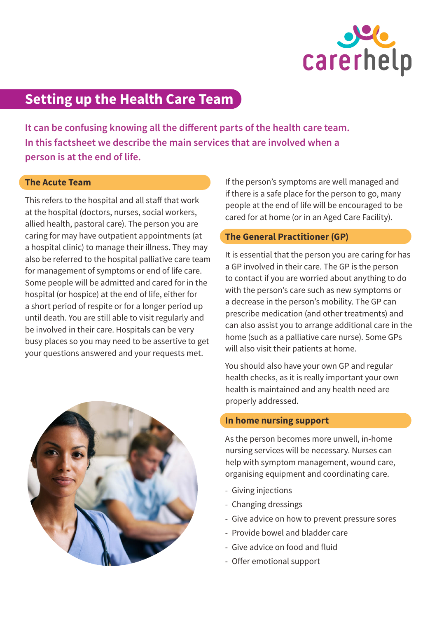

# **Setting up the Health Care Team**

**It can be confusing knowing all the different parts of the health care team. In this factsheet we describe the main services that are involved when a person is at the end of life.** 

### **The Acute Team**

This refers to the hospital and all staff that work at the hospital (doctors, nurses, social workers, allied health, pastoral care). The person you are caring for may have outpatient appointments (at a hospital clinic) to manage their illness. They may also be referred to the hospital palliative care team for management of symptoms or end of life care. Some people will be admitted and cared for in the hospital (or hospice) at the end of life, either for a short period of respite or for a longer period up until death. You are still able to visit regularly and be involved in their care. Hospitals can be very busy places so you may need to be assertive to get your questions answered and your requests met.



If the person's symptoms are well managed and if there is a safe place for the person to go, many people at the end of life will be encouraged to be cared for at home (or in an Aged Care Facility).

## **The General Practitioner (GP)**

It is essential that the person you are caring for has a GP involved in their care. The GP is the person to contact if you are worried about anything to do with the person's care such as new symptoms or a decrease in the person's mobility. The GP can prescribe medication (and other treatments) and can also assist you to arrange additional care in the home (such as a palliative care nurse). Some GPs will also visit their patients at home.

You should also have your own GP and regular health checks, as it is really important your own health is maintained and any health need are properly addressed.

## **In home nursing support**

As the person becomes more unwell, in-home nursing services will be necessary. Nurses can help with symptom management, wound care, organising equipment and coordinating care.

- Giving injections
- Changing dressings
- Give advice on how to prevent pressure sores
- Provide bowel and bladder care
- Give advice on food and fluid
- Offer emotional support